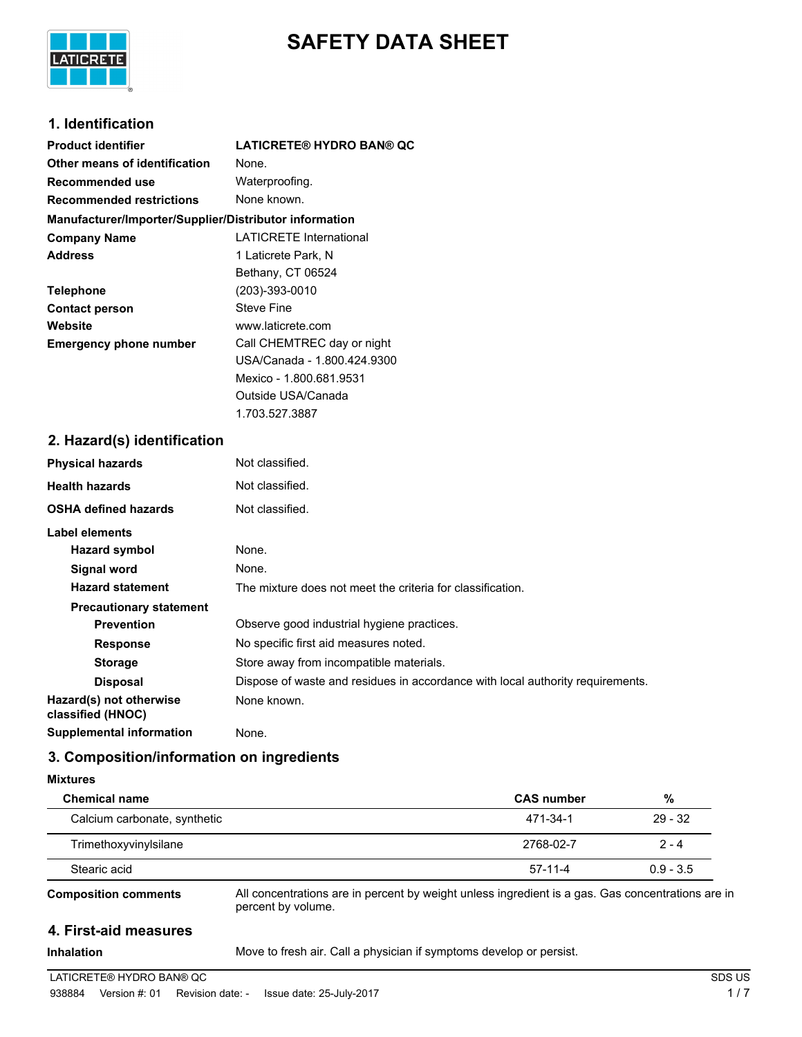

# **SAFETY DATA SHEET**

# **1. Identification**

| <b>Product identifier</b>                              | <b>LATICRETE® HYDRO BAN® QC</b> |  |  |
|--------------------------------------------------------|---------------------------------|--|--|
| Other means of identification                          | None.                           |  |  |
| Recommended use                                        | Waterproofing.                  |  |  |
| <b>Recommended restrictions</b>                        | None known.                     |  |  |
| Manufacturer/Importer/Supplier/Distributor information |                                 |  |  |
| <b>Company Name</b>                                    | <b>LATICRETE International</b>  |  |  |
| <b>Address</b>                                         | 1 Laticrete Park, N             |  |  |
|                                                        | Bethany, CT 06524               |  |  |
| <b>Telephone</b>                                       | (203)-393-0010                  |  |  |
| <b>Contact person</b>                                  | Steve Fine                      |  |  |
| Website                                                | www.laticrete.com               |  |  |
| <b>Emergency phone number</b>                          | Call CHEMTREC day or night      |  |  |
|                                                        | USA/Canada - 1.800.424.9300     |  |  |
|                                                        | Mexico - 1.800.681.9531         |  |  |
|                                                        | Outside USA/Canada              |  |  |
|                                                        | 1.703.527.3887                  |  |  |

# **2. Hazard(s) identification**

| <b>Physical hazards</b>                      | Not classified.                                                                |
|----------------------------------------------|--------------------------------------------------------------------------------|
| <b>Health hazards</b>                        | Not classified.                                                                |
| <b>OSHA defined hazards</b>                  | Not classified.                                                                |
| Label elements                               |                                                                                |
| Hazard symbol                                | None.                                                                          |
| Signal word                                  | None.                                                                          |
| <b>Hazard statement</b>                      | The mixture does not meet the criteria for classification.                     |
| <b>Precautionary statement</b>               |                                                                                |
| <b>Prevention</b>                            | Observe good industrial hygiene practices.                                     |
| <b>Response</b>                              | No specific first aid measures noted.                                          |
| <b>Storage</b>                               | Store away from incompatible materials.                                        |
| <b>Disposal</b>                              | Dispose of waste and residues in accordance with local authority requirements. |
| Hazard(s) not otherwise<br>classified (HNOC) | None known.                                                                    |
| <b>Supplemental information</b>              | None.                                                                          |

# **3. Composition/information on ingredients**

| <b>Mixtures</b> |  |
|-----------------|--|
|-----------------|--|

| <b>Chemical name</b>         | <b>CAS</b> number                                                                                                           | %           |
|------------------------------|-----------------------------------------------------------------------------------------------------------------------------|-------------|
| Calcium carbonate, synthetic | 471-34-1                                                                                                                    | $29 - 32$   |
| Trimethoxyvinylsilane        | 2768-02-7                                                                                                                   | $2 - 4$     |
| Stearic acid                 | $57-11-4$                                                                                                                   | $0.9 - 3.5$ |
| .                            | All constructions are the constructed and the construction of the first $\bigcap_{i=1}^n\mathbb{R}^n$ . The construction of |             |

**Composition comments**

All concentrations are in percent by weight unless ingredient is a gas. Gas concentrations are in percent by volume.

# **4. First-aid measures**

**Inhalation** Move to fresh air. Call a physician if symptoms develop or persist.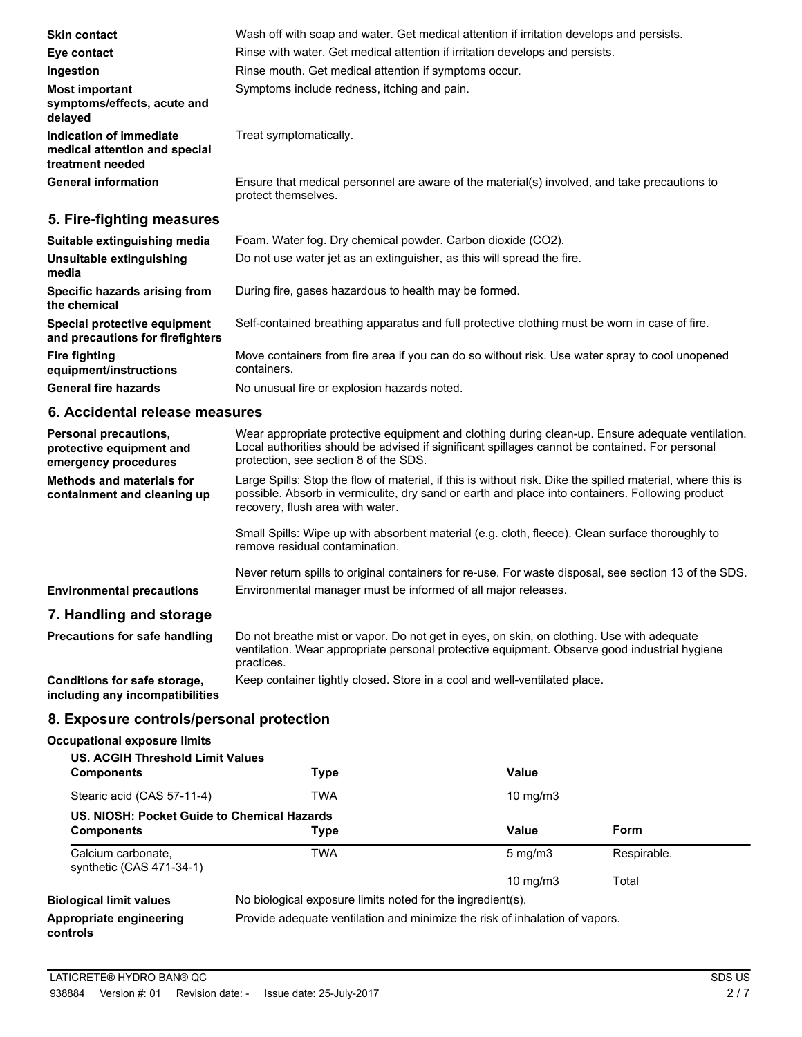| <b>Skin contact</b>                                                          | Wash off with soap and water. Get medical attention if irritation develops and persists.                            |  |
|------------------------------------------------------------------------------|---------------------------------------------------------------------------------------------------------------------|--|
| Eye contact                                                                  | Rinse with water. Get medical attention if irritation develops and persists.                                        |  |
| Ingestion                                                                    | Rinse mouth. Get medical attention if symptoms occur.                                                               |  |
| <b>Most important</b><br>symptoms/effects, acute and<br>delayed              | Symptoms include redness, itching and pain.                                                                         |  |
| Indication of immediate<br>medical attention and special<br>treatment needed | Treat symptomatically.                                                                                              |  |
| <b>General information</b>                                                   | Ensure that medical personnel are aware of the material(s) involved, and take precautions to<br>protect themselves. |  |
| 5. Fire-fighting measures                                                    |                                                                                                                     |  |
| Suitable extinguishing media                                                 | Foam. Water fog. Dry chemical powder. Carbon dioxide (CO2).                                                         |  |
| Unsuitable extinguishing<br>media                                            | Do not use water jet as an extinguisher, as this will spread the fire.                                              |  |
| Specific hazards arising from                                                | During fire, gases hazardous to health may be formed.                                                               |  |

**the chemical Special protective equipment** Self-contained breathing apparatus and full protective clothing must be worn in case of fire. **and precautions for firefighters** Move containers from fire area if you can do so without risk. Use water spray to cool unopened containers. **Fire fighting equipment/instructions** General fire hazards **No unusual fire or explosion hazards noted.** 

#### **6. Accidental release measures**

| <b>Personal precautions,</b><br>protective equipment and<br>emergency procedures | Wear appropriate protective equipment and clothing during clean-up. Ensure adequate ventilation.<br>Local authorities should be advised if significant spillages cannot be contained. For personal<br>protection, see section 8 of the SDS.       |
|----------------------------------------------------------------------------------|---------------------------------------------------------------------------------------------------------------------------------------------------------------------------------------------------------------------------------------------------|
| Methods and materials for<br>containment and cleaning up                         | Large Spills: Stop the flow of material, if this is without risk. Dike the spilled material, where this is<br>possible. Absorb in vermiculite, dry sand or earth and place into containers. Following product<br>recovery, flush area with water. |
|                                                                                  | Small Spills: Wipe up with absorbent material (e.g. cloth, fleece). Clean surface thoroughly to<br>remove residual contamination.                                                                                                                 |
| <b>Environmental precautions</b>                                                 | Never return spills to original containers for re-use. For waste disposal, see section 13 of the SDS.<br>Environmental manager must be informed of all major releases.                                                                            |
| 7. Handling and storage                                                          |                                                                                                                                                                                                                                                   |
| <b>Precautions for safe handling</b>                                             | Do not breathe mist or vapor. Do not get in eyes, on skin, on clothing. Use with adequate<br>ventilation. Wear appropriate personal protective equipment. Observe good industrial hygiene<br>practices.                                           |
| Conditions for safe storage,                                                     | Keep container tightly closed. Store in a cool and well-ventilated place.                                                                                                                                                                         |

**including any incompatibilities**

# **8. Exposure controls/personal protection**

### **Occupational exposure limits**

| <b>US. ACGIH Threshold Limit Values</b><br><b>Components</b>     | Type                                                                        | Value             |             |
|------------------------------------------------------------------|-----------------------------------------------------------------------------|-------------------|-------------|
| Stearic acid (CAS 57-11-4)                                       | TWA                                                                         | 10 mg/m $3$       |             |
| US. NIOSH: Pocket Guide to Chemical Hazards<br><b>Components</b> | Type                                                                        | Value             | Form        |
| Calcium carbonate,<br>synthetic (CAS 471-34-1)                   | TWA                                                                         | $5 \text{ mg/m}$  | Respirable. |
|                                                                  |                                                                             | $10 \text{ mg/m}$ | Total       |
| <b>Biological limit values</b>                                   | No biological exposure limits noted for the ingredient(s).                  |                   |             |
| Appropriate engineering<br>controls                              | Provide adequate ventilation and minimize the risk of inhalation of vapors. |                   |             |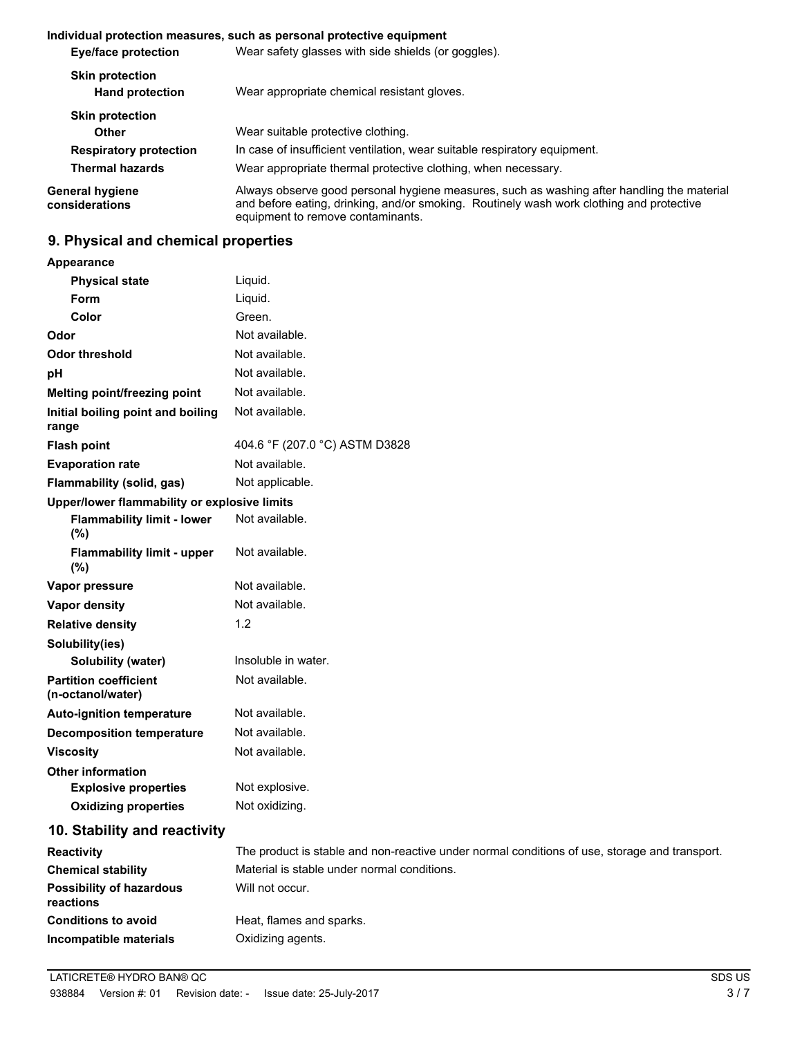#### **Individual protection measures, such as personal protective equipment**

| Eye/face protection                                     | Wear safety glasses with side shields (or goggles).                                                                                                                                                                         |
|---------------------------------------------------------|-----------------------------------------------------------------------------------------------------------------------------------------------------------------------------------------------------------------------------|
| <b>Skin protection</b><br><b>Hand protection</b>        | Wear appropriate chemical resistant gloves.                                                                                                                                                                                 |
| <b>Skin protection</b><br>Other                         | Wear suitable protective clothing.                                                                                                                                                                                          |
| <b>Respiratory protection</b><br><b>Thermal hazards</b> | In case of insufficient ventilation, wear suitable respiratory equipment.<br>Wear appropriate thermal protective clothing, when necessary.                                                                                  |
| General hygiene<br>considerations                       | Always observe good personal hygiene measures, such as washing after handling the material<br>and before eating, drinking, and/or smoking. Routinely wash work clothing and protective<br>equipment to remove contaminants. |

# **9. Physical and chemical properties**

| Appearance                                        |                                                                                               |
|---------------------------------------------------|-----------------------------------------------------------------------------------------------|
| <b>Physical state</b>                             | Liquid.                                                                                       |
| Form                                              | Liquid.                                                                                       |
| Color                                             | Green.                                                                                        |
| Odor                                              | Not available.                                                                                |
| <b>Odor threshold</b>                             | Not available.                                                                                |
| pH                                                | Not available.                                                                                |
| Melting point/freezing point                      | Not available.                                                                                |
| Initial boiling point and boiling<br>range        | Not available.                                                                                |
| <b>Flash point</b>                                | 404.6 °F (207.0 °C) ASTM D3828                                                                |
| <b>Evaporation rate</b>                           | Not available.                                                                                |
| Flammability (solid, gas)                         | Not applicable.                                                                               |
| Upper/lower flammability or explosive limits      |                                                                                               |
| <b>Flammability limit - lower</b><br>(%)          | Not available.                                                                                |
| <b>Flammability limit - upper</b><br>(%)          | Not available.                                                                                |
| Vapor pressure                                    | Not available.                                                                                |
| Vapor density                                     | Not available.                                                                                |
| <b>Relative density</b>                           | 1.2                                                                                           |
| Solubility(ies)                                   |                                                                                               |
| <b>Solubility (water)</b>                         | Insoluble in water.                                                                           |
| <b>Partition coefficient</b><br>(n-octanol/water) | Not available.                                                                                |
| <b>Auto-ignition temperature</b>                  | Not available.                                                                                |
| <b>Decomposition temperature</b>                  | Not available.                                                                                |
| <b>Viscosity</b>                                  | Not available.                                                                                |
| <b>Other information</b>                          |                                                                                               |
| <b>Explosive properties</b>                       | Not explosive.                                                                                |
| <b>Oxidizing properties</b>                       | Not oxidizing.                                                                                |
| 10. Stability and reactivity                      |                                                                                               |
| <b>Reactivity</b>                                 | The product is stable and non-reactive under normal conditions of use, storage and transport. |

| Reactivity                                   | THE product is stable and non-reactive driver nonnal conditions or use, storage and transport. |
|----------------------------------------------|------------------------------------------------------------------------------------------------|
| <b>Chemical stability</b>                    | Material is stable under normal conditions.                                                    |
| <b>Possibility of hazardous</b><br>reactions | Will not occur.                                                                                |
| <b>Conditions to avoid</b>                   | Heat, flames and sparks.                                                                       |
| Incompatible materials                       | Oxidizing agents.                                                                              |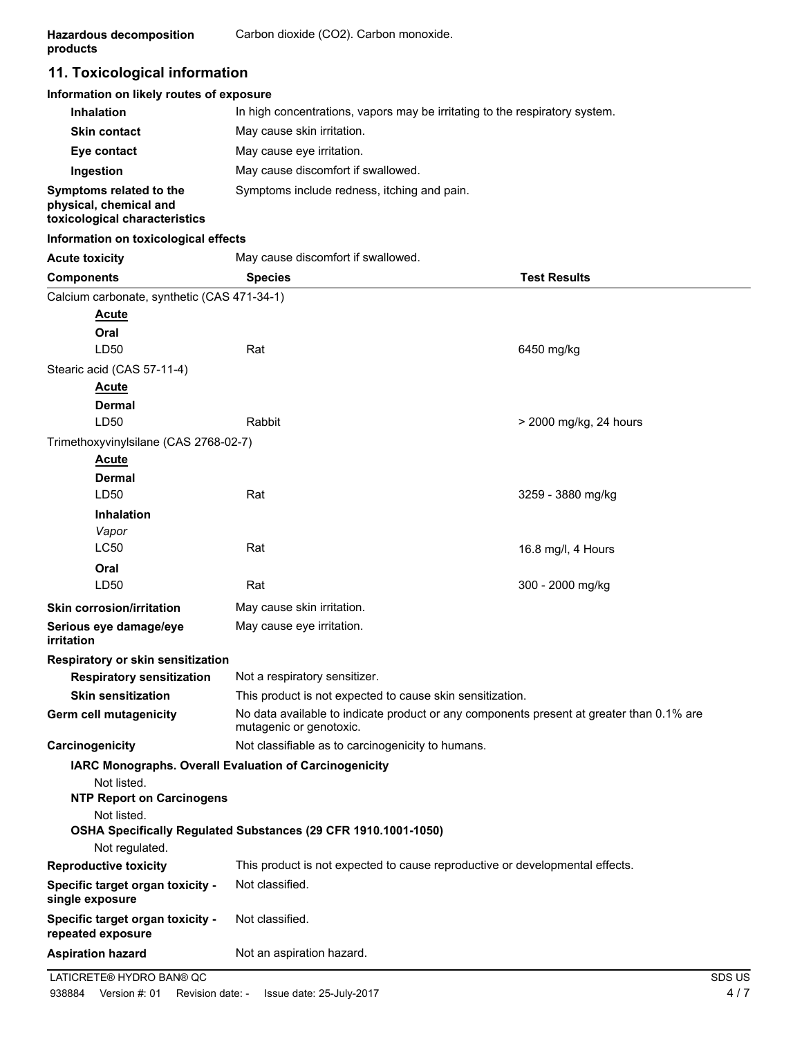# **11. Toxicological information**

#### **Information on likely routes of exposure**

| <b>Inhalation</b>                                                                  | In high concentrations, vapors may be irritating to the respiratory system. |
|------------------------------------------------------------------------------------|-----------------------------------------------------------------------------|
| <b>Skin contact</b>                                                                | May cause skin irritation.                                                  |
| Eye contact                                                                        | May cause eye irritation.                                                   |
| Ingestion                                                                          | May cause discomfort if swallowed.                                          |
| Symptoms related to the<br>physical, chemical and<br>toxicological characteristics | Symptoms include redness, itching and pain.                                 |

#### **Information on toxicological effects**

| <b>Acute toxicity</b>                                 | May cause discomfort if swallowed.                                                                                  |                        |  |  |
|-------------------------------------------------------|---------------------------------------------------------------------------------------------------------------------|------------------------|--|--|
| <b>Components</b>                                     | <b>Species</b>                                                                                                      | <b>Test Results</b>    |  |  |
|                                                       | Calcium carbonate, synthetic (CAS 471-34-1)                                                                         |                        |  |  |
| <b>Acute</b>                                          |                                                                                                                     |                        |  |  |
| Oral                                                  |                                                                                                                     |                        |  |  |
| LD50                                                  | Rat                                                                                                                 | 6450 mg/kg             |  |  |
| Stearic acid (CAS 57-11-4)                            |                                                                                                                     |                        |  |  |
| <b>Acute</b>                                          |                                                                                                                     |                        |  |  |
| Dermal                                                |                                                                                                                     |                        |  |  |
| LD50                                                  | Rabbit                                                                                                              | > 2000 mg/kg, 24 hours |  |  |
| Trimethoxyvinylsilane (CAS 2768-02-7)                 |                                                                                                                     |                        |  |  |
| <b>Acute</b>                                          |                                                                                                                     |                        |  |  |
| <b>Dermal</b>                                         |                                                                                                                     |                        |  |  |
| LD50                                                  | Rat                                                                                                                 | 3259 - 3880 mg/kg      |  |  |
| <b>Inhalation</b>                                     |                                                                                                                     |                        |  |  |
| Vapor                                                 |                                                                                                                     |                        |  |  |
| <b>LC50</b>                                           | Rat                                                                                                                 | 16.8 mg/l, 4 Hours     |  |  |
| Oral                                                  |                                                                                                                     |                        |  |  |
| LD50                                                  | Rat                                                                                                                 | 300 - 2000 mg/kg       |  |  |
| <b>Skin corrosion/irritation</b>                      | May cause skin irritation.                                                                                          |                        |  |  |
| Serious eye damage/eye<br>irritation                  | May cause eye irritation.                                                                                           |                        |  |  |
| Respiratory or skin sensitization                     |                                                                                                                     |                        |  |  |
| <b>Respiratory sensitization</b>                      | Not a respiratory sensitizer.                                                                                       |                        |  |  |
| <b>Skin sensitization</b>                             | This product is not expected to cause skin sensitization.                                                           |                        |  |  |
| Germ cell mutagenicity                                | No data available to indicate product or any components present at greater than 0.1% are<br>mutagenic or genotoxic. |                        |  |  |
| Carcinogenicity                                       | Not classifiable as to carcinogenicity to humans.                                                                   |                        |  |  |
|                                                       | IARC Monographs. Overall Evaluation of Carcinogenicity                                                              |                        |  |  |
| Not listed.                                           |                                                                                                                     |                        |  |  |
| <b>NTP Report on Carcinogens</b>                      |                                                                                                                     |                        |  |  |
| Not listed.                                           |                                                                                                                     |                        |  |  |
| Not regulated.                                        | OSHA Specifically Regulated Substances (29 CFR 1910.1001-1050)                                                      |                        |  |  |
| <b>Reproductive toxicity</b>                          |                                                                                                                     |                        |  |  |
| Specific target organ toxicity -                      | This product is not expected to cause reproductive or developmental effects.<br>Not classified.                     |                        |  |  |
| single exposure                                       |                                                                                                                     |                        |  |  |
| Specific target organ toxicity -<br>repeated exposure | Not classified.                                                                                                     |                        |  |  |
| <b>Aspiration hazard</b>                              | Not an aspiration hazard.                                                                                           |                        |  |  |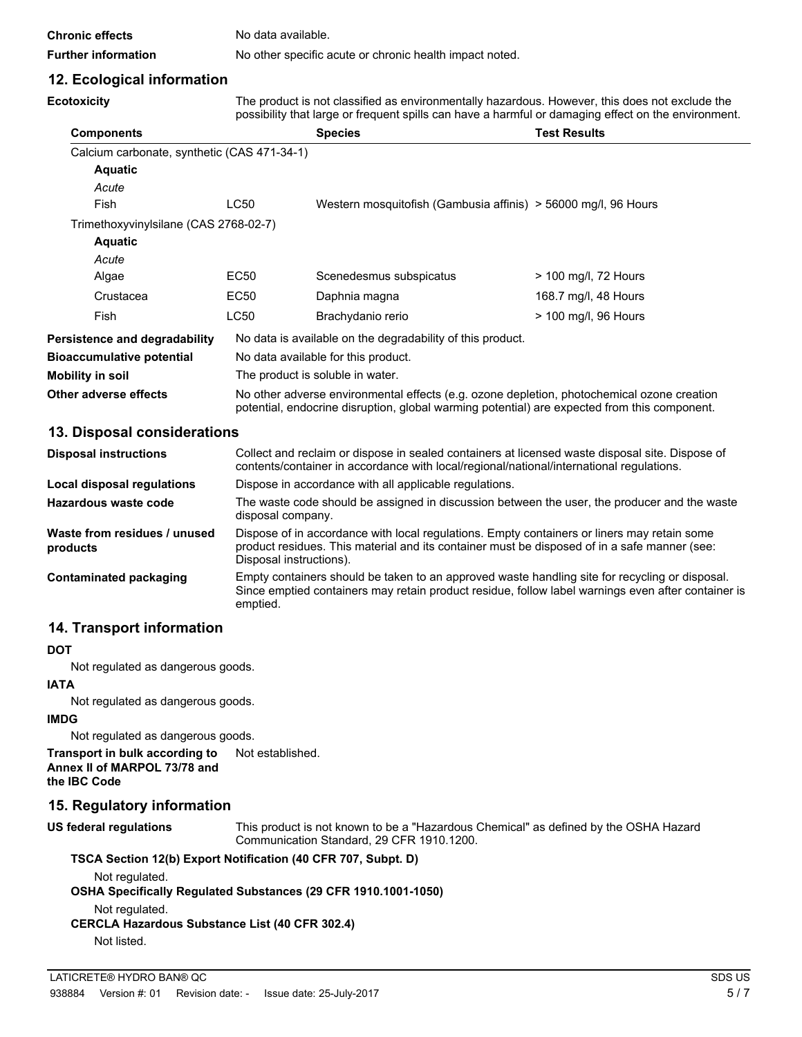|  | <b>Chronic effects</b> |  |
|--|------------------------|--|
|  |                        |  |

**Ecotoxicity**

No data available.

**Further information** No other specific acute or chronic health impact noted.

## **12. Ecological information**

The product is not classified as environmentally hazardous. However, this does not exclude the possibility that large or frequent spills can have a harmful or damaging effect on the environment.

| <b>Components</b>                           |      | <b>Species</b>                                                                                                                                                                             | <b>Test Results</b>  |
|---------------------------------------------|------|--------------------------------------------------------------------------------------------------------------------------------------------------------------------------------------------|----------------------|
| Calcium carbonate, synthetic (CAS 471-34-1) |      |                                                                                                                                                                                            |                      |
| <b>Aquatic</b>                              |      |                                                                                                                                                                                            |                      |
| Acute                                       |      |                                                                                                                                                                                            |                      |
| <b>Fish</b>                                 | LC50 | Western mosquitofish (Gambusia affinis) > 56000 mg/l, 96 Hours                                                                                                                             |                      |
| Trimethoxyvinylsilane (CAS 2768-02-7)       |      |                                                                                                                                                                                            |                      |
| <b>Aquatic</b>                              |      |                                                                                                                                                                                            |                      |
| Acute                                       |      |                                                                                                                                                                                            |                      |
| Algae                                       | EC50 | Scenedesmus subspicatus                                                                                                                                                                    | > 100 mg/l, 72 Hours |
| Crustacea                                   | EC50 | Daphnia magna                                                                                                                                                                              | 168.7 mg/l, 48 Hours |
| <b>Fish</b>                                 | LC50 | Brachydanio rerio                                                                                                                                                                          | > 100 mg/l, 96 Hours |
| Persistence and degradability               |      | No data is available on the degradability of this product.                                                                                                                                 |                      |
| <b>Bioaccumulative potential</b>            |      | No data available for this product.                                                                                                                                                        |                      |
| Mobility in soil                            |      | The product is soluble in water.                                                                                                                                                           |                      |
| Other adverse effects                       |      | No other adverse environmental effects (e.g. ozone depletion, photochemical ozone creation<br>potential, endocrine disruption, global warming potential) are expected from this component. |                      |

#### **13. Disposal considerations**

| <b>Disposal instructions</b>             | Collect and reclaim or dispose in sealed containers at licensed waste disposal site. Dispose of<br>contents/container in accordance with local/regional/national/international regulations.                            |  |
|------------------------------------------|------------------------------------------------------------------------------------------------------------------------------------------------------------------------------------------------------------------------|--|
| Local disposal regulations               | Dispose in accordance with all applicable regulations.                                                                                                                                                                 |  |
| Hazardous waste code                     | The waste code should be assigned in discussion between the user, the producer and the waste<br>disposal company.                                                                                                      |  |
| Waste from residues / unused<br>products | Dispose of in accordance with local regulations. Empty containers or liners may retain some<br>product residues. This material and its container must be disposed of in a safe manner (see:<br>Disposal instructions). |  |
| Contaminated packaging                   | Empty containers should be taken to an approved waste handling site for recycling or disposal.<br>Since emptied containers may retain product residue, follow label warnings even after container is<br>emptied.       |  |

### **14. Transport information**

### **DOT**

Not regulated as dangerous goods.

# **IATA**

Not regulated as dangerous goods.

# **IMDG**

Not regulated as dangerous goods.

**Transport in bulk according to** Not established. **Annex II of MARPOL 73/78 and the IBC Code**

# **15. Regulatory information**

**US federal regulations**

This product is not known to be a "Hazardous Chemical" as defined by the OSHA Hazard Communication Standard, 29 CFR 1910.1200.

### **TSCA Section 12(b) Export Notification (40 CFR 707, Subpt. D)**

Not regulated.

**OSHA Specifically Regulated Substances (29 CFR 1910.1001-1050)**

Not regulated.

### **CERCLA Hazardous Substance List (40 CFR 302.4)**

Not listed.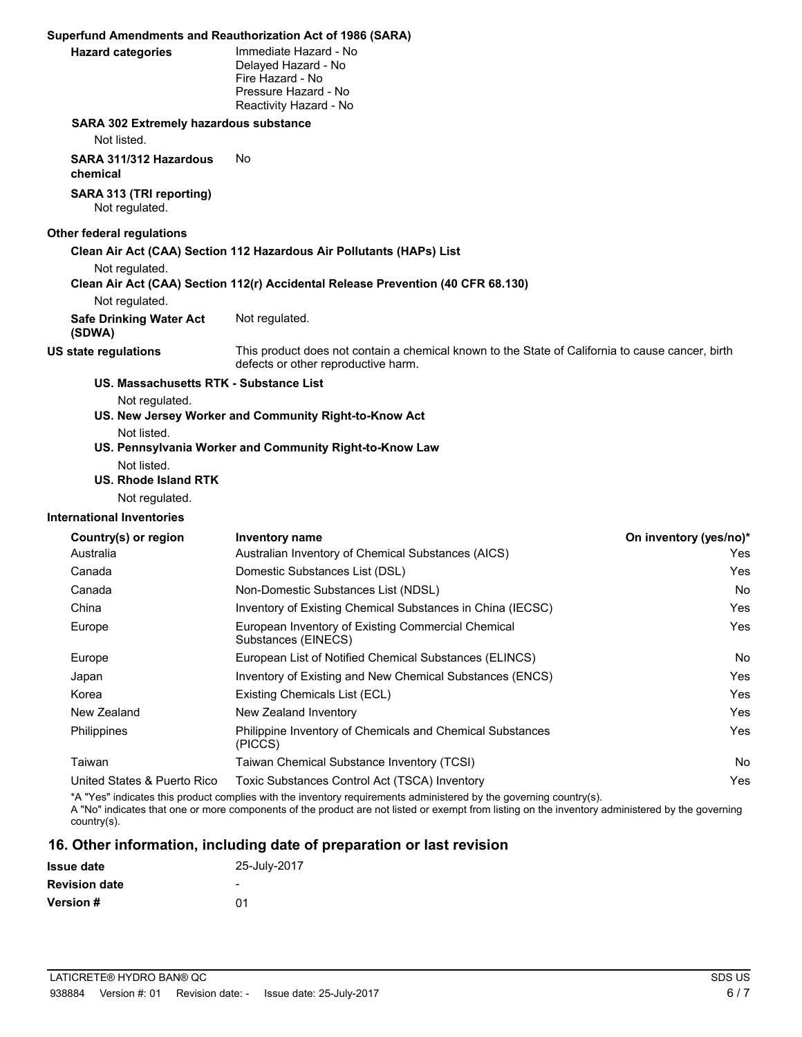| <b>Hazard categories</b>                              | Superfund Amendments and Reauthorization Act of 1986 (SARA)<br>Immediate Hazard - No<br>Delayed Hazard - No<br>Fire Hazard - No<br>Pressure Hazard - No<br>Reactivity Hazard - No |                        |
|-------------------------------------------------------|-----------------------------------------------------------------------------------------------------------------------------------------------------------------------------------|------------------------|
| <b>SARA 302 Extremely hazardous substance</b>         |                                                                                                                                                                                   |                        |
| Not listed.                                           |                                                                                                                                                                                   |                        |
| SARA 311/312 Hazardous<br>chemical                    | No                                                                                                                                                                                |                        |
| SARA 313 (TRI reporting)<br>Not regulated.            |                                                                                                                                                                                   |                        |
| <b>Other federal regulations</b>                      |                                                                                                                                                                                   |                        |
|                                                       | Clean Air Act (CAA) Section 112 Hazardous Air Pollutants (HAPs) List                                                                                                              |                        |
| Not regulated.                                        | Clean Air Act (CAA) Section 112(r) Accidental Release Prevention (40 CFR 68.130)                                                                                                  |                        |
| Not regulated.                                        |                                                                                                                                                                                   |                        |
| <b>Safe Drinking Water Act</b><br>(SDWA)              | Not regulated.                                                                                                                                                                    |                        |
| <b>US state regulations</b>                           | This product does not contain a chemical known to the State of California to cause cancer, birth<br>defects or other reproductive harm.                                           |                        |
| US. Massachusetts RTK - Substance List                |                                                                                                                                                                                   |                        |
| Not regulated.                                        |                                                                                                                                                                                   |                        |
|                                                       | US. New Jersey Worker and Community Right-to-Know Act                                                                                                                             |                        |
| Not listed.                                           |                                                                                                                                                                                   |                        |
|                                                       | US. Pennsylvania Worker and Community Right-to-Know Law                                                                                                                           |                        |
| Not listed.<br>US. Rhode Island RTK<br>Not regulated. |                                                                                                                                                                                   |                        |
| <b>International Inventories</b>                      |                                                                                                                                                                                   |                        |
| Country(s) or region                                  | Inventory name                                                                                                                                                                    | On inventory (yes/no)* |
| Australia                                             | Australian Inventory of Chemical Substances (AICS)                                                                                                                                | Yes                    |
| Canada                                                | Domestic Substances List (DSL)                                                                                                                                                    | Yes                    |
| Canada                                                | Non-Domestic Substances List (NDSL)                                                                                                                                               | No                     |
| China                                                 | Inventory of Existing Chemical Substances in China (IECSC)                                                                                                                        | Yes                    |
| Europe                                                | European Inventory of Existing Commercial Chemical<br>Substances (EINECS)                                                                                                         | Yes                    |

\*A "Yes" indicates this product complies with the inventory requirements administered by the governing country(s). A "No" indicates that one or more components of the product are not listed or exempt from listing on the inventory administered by the governing country(s). United States & Puerto Rico Toxic Substances Control Act (TSCA) Inventory Yes

Taiwan **Taiwan Chemical Substance Inventory (TCSI)** No Chemical Substance Inventory (TCSI)

Europe **European List of Notified Chemical Substances (ELINCS)** No Notice Note 2014 Japan **Inventory of Existing and New Chemical Substances (ENCS)** Yes **Yes** Korea **Existing Chemicals List (ECL) Existing Chemicals List (ECL) The System Constant Constant Constant Constant Constant Constant Constant Constant Constant Constant Constant Constant Constant Constant Constant Const** New Zealand New Zealand Inventory **New Zealand Inventory New Zealand Inventory New Zealand Inventory** Philippine Inventory of Chemicals and Chemical Substances Philippines Yes

#### **16. Other information, including date of preparation or last revision**

(PICCS)

| <b>Issue date</b>    | 25-July-2017 |
|----------------------|--------------|
| <b>Revision date</b> | -            |
| <b>Version #</b>     | በ1           |